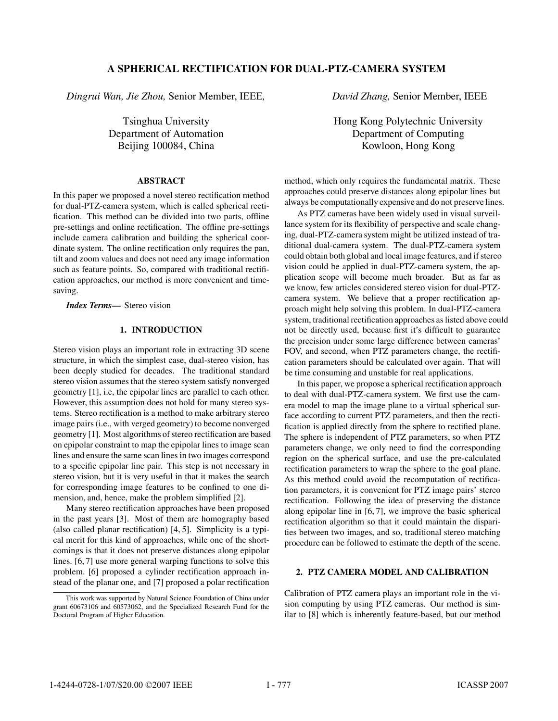# **A SPHERICAL RECTIFICATION FOR DUAL-PTZ-CAMERA SYSTEM**

*Dingrui Wan, Jie Zhou,* Senior Member, IEEE*,*

Tsinghua University Department of Automation Beijing 100084, China

## **ABSTRACT**

In this paper we proposed a novel stereo rectification method for dual-PTZ-camera system, which is called spherical rectification. This method can be divided into two parts, offline pre-settings and online rectification. The offline pre-settings include camera calibration and building the spherical coordinate system. The online rectification only requires the pan, tilt and zoom values and does not need any image information such as feature points. So, compared with traditional rectification approaches, our method is more convenient and timesaving.

*Index Terms***—** Stereo vision

## **1. INTRODUCTION**

Stereo vision plays an important role in extracting 3D scene structure, in which the simplest case, dual-stereo vision, has been deeply studied for decades. The traditional standard stereo vision assumes that the stereo system satisfy nonverged geometry [1], i.e, the epipolar lines are parallel to each other. However, this assumption does not hold for many stereo systems. Stereo rectification is a method to make arbitrary stereo image pairs (i.e., with verged geometry) to become nonverged geometry [1]. Most algorithms of stereo rectification are based on epipolar constraint to map the epipolar lines to image scan lines and ensure the same scan lines in two images correspond to a specific epipolar line pair. This step is not necessary in stereo vision, but it is very useful in that it makes the search for corresponding image features to be confined to one dimension, and, hence, make the problem simplified [2].

Many stereo rectification approaches have been proposed in the past years [3]. Most of them are homography based (also called planar rectification)  $[4, 5]$ . Simplicity is a typical merit for this kind of approaches, while one of the shortcomings is that it does not preserve distances along epipolar lines. [6, 7] use more general warping functions to solve this problem. [6] proposed a cylinder rectification approach instead of the planar one, and [7] proposed a polar rectification *David Zhang,* Senior Member, IEEE

Hong Kong Polytechnic University Department of Computing Kowloon, Hong Kong

method, which only requires the fundamental matrix. These approaches could preserve distances along epipolar lines but always be computationally expensive and do not preserve lines.

As PTZ cameras have been widely used in visual surveillance system for its flexibility of perspective and scale changing, dual-PTZ-camera system might be utilized instead of traditional dual-camera system. The dual-PTZ-camera system could obtain both global and local image features, and if stereo vision could be applied in dual-PTZ-camera system, the application scope will become much broader. But as far as we know, few articles considered stereo vision for dual-PTZcamera system. We believe that a proper rectification approach might help solving this problem. In dual-PTZ-camera system, traditional rectification approaches as listed above could not be directly used, because first it's difficult to guarantee the precision under some large difference between cameras' FOV, and second, when PTZ parameters change, the rectification parameters should be calculated over again. That will be time consuming and unstable for real applications.

In this paper, we propose a spherical rectification approach to deal with dual-PTZ-camera system. We first use the camera model to map the image plane to a virtual spherical surface according to current PTZ parameters, and then the rectification is applied directly from the sphere to rectified plane. The sphere is independent of PTZ parameters, so when PTZ parameters change, we only need to find the corresponding region on the spherical surface, and use the pre-calculated rectification parameters to wrap the sphere to the goal plane. As this method could avoid the recomputation of rectification parameters, it is convenient for PTZ image pairs' stereo rectification. Following the idea of preserving the distance along epipolar line in [6, 7], we improve the basic spherical rectification algorithm so that it could maintain the disparities between two images, and so, traditional stereo matching procedure can be followed to estimate the depth of the scene.

### **2. PTZ CAMERA MODEL AND CALIBRATION**

Calibration of PTZ camera plays an important role in the vision computing by using PTZ cameras. Our method is similar to [8] which is inherently feature-based, but our method

This work was supported by Natural Science Foundation of China under grant 60673106 and 60573062, and the Specialized Research Fund for the Doctoral Program of Higher Education.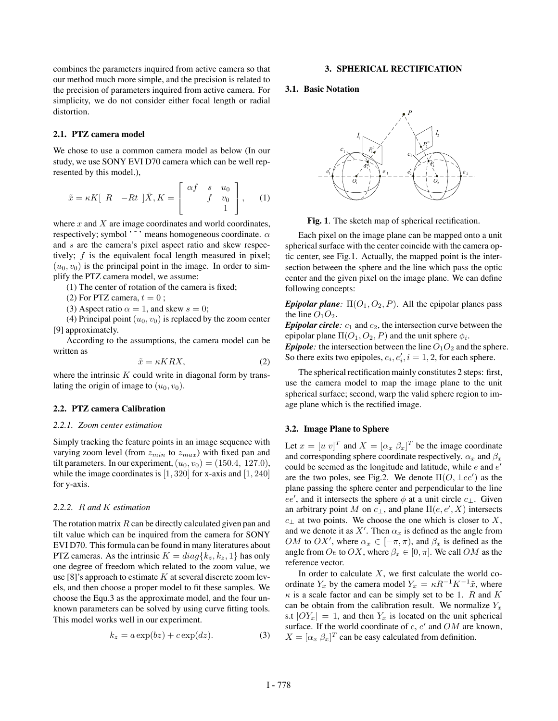combines the parameters inquired from active camera so that our method much more simple, and the precision is related to the precision of parameters inquired from active camera. For simplicity, we do not consider either focal length or radial distortion.

### **2.1. PTZ camera model**

We chose to use a common camera model as below (In our study, we use SONY EVI D70 camera which can be well represented by this model.),

$$
\tilde{x} = \kappa K [R - Rt] \tilde{X}, K = \begin{bmatrix} \alpha f & s & u_0 \\ f & v_0 \\ 1 & 1 \end{bmatrix}, \quad (1)
$$

where  $x$  and  $X$  are image coordinates and world coordinates, respectively; symbol ' ~ ' means homogeneous coordinate.  $\alpha$ and s are the camera's pixel aspect ratio and skew respectively;  $f$  is the equivalent focal length measured in pixel;  $(u_0, v_0)$  is the principal point in the image. In order to simplify the PTZ camera model, we assume:

 $(1)$  The center of rotation of the camera is fixed;

(2) For PTZ camera,  $t = 0$ ;

(3) Aspect ratio  $\alpha = 1$ , and skew  $s = 0$ ;

(4) Principal point  $(u_0, v_0)$  is replaced by the zoom center [9] approximately.

According to the assumptions, the camera model can be written as

$$
\tilde{x} = \kappa KRX,\tag{2}
$$

where the intrinsic  $K$  could write in diagonal form by translating the origin of image to  $(u_0, v_0)$ .

#### **2.2. PTZ camera Calibration**

#### *2.2.1. Zoom center estimation*

Simply tracking the feature points in an image sequence with varying zoom level (from  $z_{min}$  to  $z_{max}$ ) with fixed pan and tilt parameters. In our experiment,  $(u_0, v_0) = (150.4, 127.0)$ , while the image coordinates is  $[1, 320]$  for x-axis and  $[1, 240]$ for y-axis.

#### *2.2.2.* R *and* K *estimation*

The rotation matrix  $R$  can be directly calculated given pan and tilt value which can be inquired from the camera for SONY EVI D70. This formula can be found in many literatures about PTZ cameras. As the intrinsic  $K = diag\{k_z, k_z, 1\}$  has only one degree of freedom which related to the zoom value, we use [8]'s approach to estimate  $K$  at several discrete zoom levels, and then choose a proper model to fit these samples. We choose the Equ.3 as the approximate model, and the four unknown parameters can be solved by using curve fitting tools. This model works well in our experiment.

$$
k_z = a \exp(bz) + c \exp(dz). \tag{3}
$$

#### **3. SPHERICAL RECTIFICATION**

#### **3.1. Basic Notation**



Fig. 1. The sketch map of spherical rectification.

Each pixel on the image plane can be mapped onto a unit spherical surface with the center coincide with the camera optic center, see Fig.1. Actually, the mapped point is the intersection between the sphere and the line which pass the optic center and the given pixel on the image plane. We can define following concepts:

*Epipolar plane*:  $\Pi(O_1, O_2, P)$ . All the epipolar planes pass the line  $O_1O_2$ .

*Epipolar circle*:  $c_1$  and  $c_2$ , the intersection curve between the epipolar plane  $\Pi(O_1, O_2, P)$  and the unit sphere  $\phi_i$ .

*Epipole*: the intersection between the line  $O_1O_2$  and the sphere. So there exits two epipoles,  $e_i, e'_i, i = 1, 2$ , for each sphere.

The spherical rectification mainly constitutes 2 steps: first, use the camera model to map the image plane to the unit spherical surface; second, warp the valid sphere region to image plane which is the rectified image.

#### **3.2. Image Plane to Sphere**

Let  $x = [u \ v]^T$  and  $X = [\alpha_x \ \beta_x]^T$  be the image coordinate and corresponding sphere coordinate respectively.  $\alpha_x$  and  $\beta_x$ could be seemed as the longitude and latitude, while  $e$  and  $e'$ are the two poles, see Fig.2. We denote  $\Pi(O, \perp ee')$  as the plane passing the sphere center and perpendicular to the line ee', and it intersects the sphere  $\phi$  at a unit circle  $c_{\perp}$ . Given an arbitrary point M on  $c_{\perp}$ , and plane  $\Pi(e, e', X)$  intersects  $c_{\perp}$  at two points. We choose the one which is closer to X, and we denote it as X'. Then  $\alpha_x$  is defined as the angle from *OM* to *OX'*, where  $\alpha_x \in [-\pi, \pi)$ , and  $\beta_x$  is defined as the angle from  $Oe$  to  $OX$ , where  $\beta_x \in [0, \pi]$ . We call  $OM$  as the reference vector.

In order to calculate  $X$ , we first calculate the world coordinate  $Y_x$  by the camera model  $Y_x = \kappa R^{-1} K^{-1} \tilde{x}$ , where  $\kappa$  is a scale factor and can be simply set to be 1. R and K can be obtain from the calibration result. We normalize  $Y_x$ s.t  $|OY_x| = 1$ , and then  $Y_x$  is located on the unit spherical surface. If the world coordinate of  $e, e'$  and  $OM$  are known,  $X = [\alpha_x \beta_x]^T$  can be easy calculated from definition.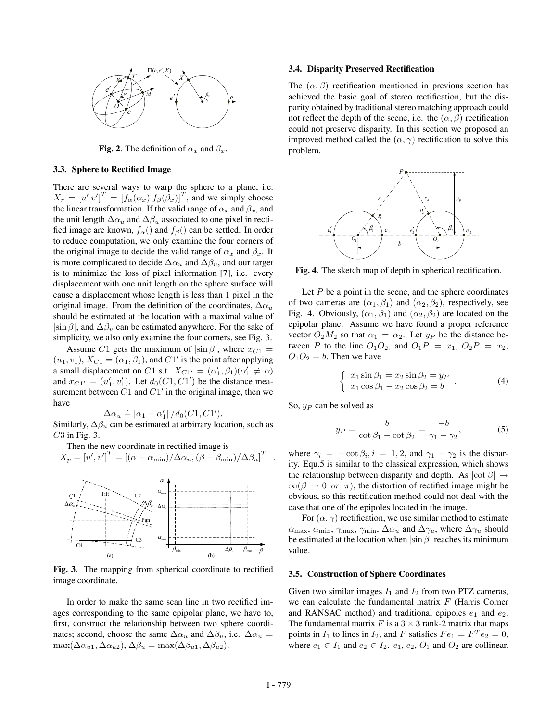

**Fig. 2**. The definition of  $\alpha_x$  and  $\beta_x$ .

#### **3.3. Sphere to Rectified Image**

There are several ways to warp the sphere to a plane, i.e.  $X_r = [u' v']^T = [f_\alpha(\alpha_x) f_\beta(\beta_x)]^T$ , and we simply choose the linear transformation. If the valid range of  $\alpha_x$  and  $\beta_x$ , and the unit length  $\Delta \alpha_u$  and  $\Delta \beta_u$  associated to one pixel in rectified image are known,  $f_\alpha()$  and  $f_\beta()$  can be settled. In order to reduce computation, we only examine the four corners of the original image to decide the valid range of  $\alpha_x$  and  $\beta_x$ . It is more complicated to decide  $\Delta \alpha_u$  and  $\Delta \beta_u$ , and our target is to minimize the loss of pixel information [7], i.e. every displacement with one unit length on the sphere surface will cause a displacement whose length is less than 1 pixel in the original image. From the definition of the coordinates,  $\Delta \alpha_u$ should be estimated at the location with a maximal value of  $|\sin \beta|$ , and  $\Delta \beta_u$  can be estimated anywhere. For the sake of simplicity, we also only examine the four corners, see Fig. 3.

Assume C1 gets the maximum of  $|\sin \beta|$ , where  $x_{C1}$  =  $(u_1, v_1)$ ,  $X_{C1} = (\alpha_1, \beta_1)$ , and  $C1'$  is the point after applying a small displacement on C1 s.t.  $X_{C1'} = (\alpha'_1, \beta_1)(\alpha'_1 \neq \alpha)$ and  $x_{C1'} = (u'_1, v'_1)$ . Let  $d_0(C1, C1')$  be the distance measurement between  $\overrightarrow{C}1$  and  $\overrightarrow{C}1'$  in the original image, then we have

 $\Delta \alpha_u \doteq |\alpha_1 - \alpha'_1| / d_0(C1, C1').$ 

Similarly,  $\Delta \beta_u$  can be estimated at arbitrary location, such as  $C3$  in Fig. 3.

Then the new coordinate in rectified image is

$$
X_p = [u', v']^T = [(\alpha - \alpha_{\min})/\Delta\alpha_u, (\beta - \beta_{\min})/\Delta\beta_u]^T
$$
.



Fig. 3. The mapping from spherical coordinate to rectified image coordinate.

In order to make the same scan line in two rectified images corresponding to the same epipolar plane, we have to, first, construct the relationship between two sphere coordinates; second, choose the same  $\Delta \alpha_u$  and  $\Delta \beta_u$ , i.e.  $\Delta \alpha_u$  =  $\max(\Delta \alpha_{u1}, \Delta \alpha_{u2}), \Delta \beta_u = \max(\Delta \beta_{u1}, \Delta \beta_{u2}).$ 

## **3.4. Disparity Preserved Rectiſcation**

The  $(\alpha, \beta)$  rectification mentioned in previous section has achieved the basic goal of stereo rectification, but the disparity obtained by traditional stereo matching approach could not reflect the depth of the scene, i.e. the  $(\alpha, \beta)$  rectification could not preserve disparity. In this section we proposed an improved method called the  $(\alpha, \gamma)$  rectification to solve this problem.



Fig. 4. The sketch map of depth in spherical rectification.

Let  $P$  be a point in the scene, and the sphere coordinates of two cameras are  $(\alpha_1, \beta_1)$  and  $(\alpha_2, \beta_2)$ , respectively, see Fig. 4. Obviously,  $(\alpha_1, \beta_1)$  and  $(\alpha_2, \beta_2)$  are located on the epipolar plane. Assume we have found a proper reference vector  $O_2M_2$  so that  $\alpha_1 = \alpha_2$ . Let  $y_P$  be the distance between P to the line  $O_1O_2$ , and  $O_1P = x_1$ ,  $O_2P = x_2$ ,  $O_1O_2 = b$ . Then we have

$$
\begin{cases}\n x_1 \sin \beta_1 = x_2 \sin \beta_2 = y_P \\
x_1 \cos \beta_1 - x_2 \cos \beta_2 = b\n\end{cases} (4)
$$

So,  $y_P$  can be solved as

$$
y_P = \frac{b}{\cot \beta_1 - \cot \beta_2} = \frac{-b}{\gamma_1 - \gamma_2},\tag{5}
$$

where  $\gamma_i = -\cot \beta_i, i = 1, 2$ , and  $\gamma_1 - \gamma_2$  is the disparity. Equ.5 is similar to the classical expression, which shows the relationship between disparity and depth. As  $|\cot \beta| \rightarrow$  $\infty(\beta \to 0 \text{ or } \pi)$ , the distortion of rectified image might be obvious, so this rectification method could not deal with the case that one of the epipoles located in the image.

For  $(\alpha, \gamma)$  rectification, we use similar method to estimate  $\alpha_{\text{max}}, \alpha_{\text{min}}, \gamma_{\text{max}}, \gamma_{\text{min}}, \Delta \alpha_u$  and  $\Delta \gamma_u$ , where  $\Delta \gamma_u$  should be estimated at the location when  $|\sin \beta|$  reaches its minimum value.

#### **3.5. Construction of Sphere Coordinates**

Given two similar images  $I_1$  and  $I_2$  from two PTZ cameras, we can calculate the fundamental matrix  $F$  (Harris Corner and RANSAC method) and traditional epipoles  $e_1$  and  $e_2$ . The fundamental matrix F is a  $3 \times 3$  rank-2 matrix that maps points in  $I_1$  to lines in  $I_2$ , and F satisfies  $Fe_1 = F^T e_2 = 0$ , where  $e_1 \in I_1$  and  $e_2 \in I_2$ .  $e_1, e_2, O_1$  and  $O_2$  are collinear.